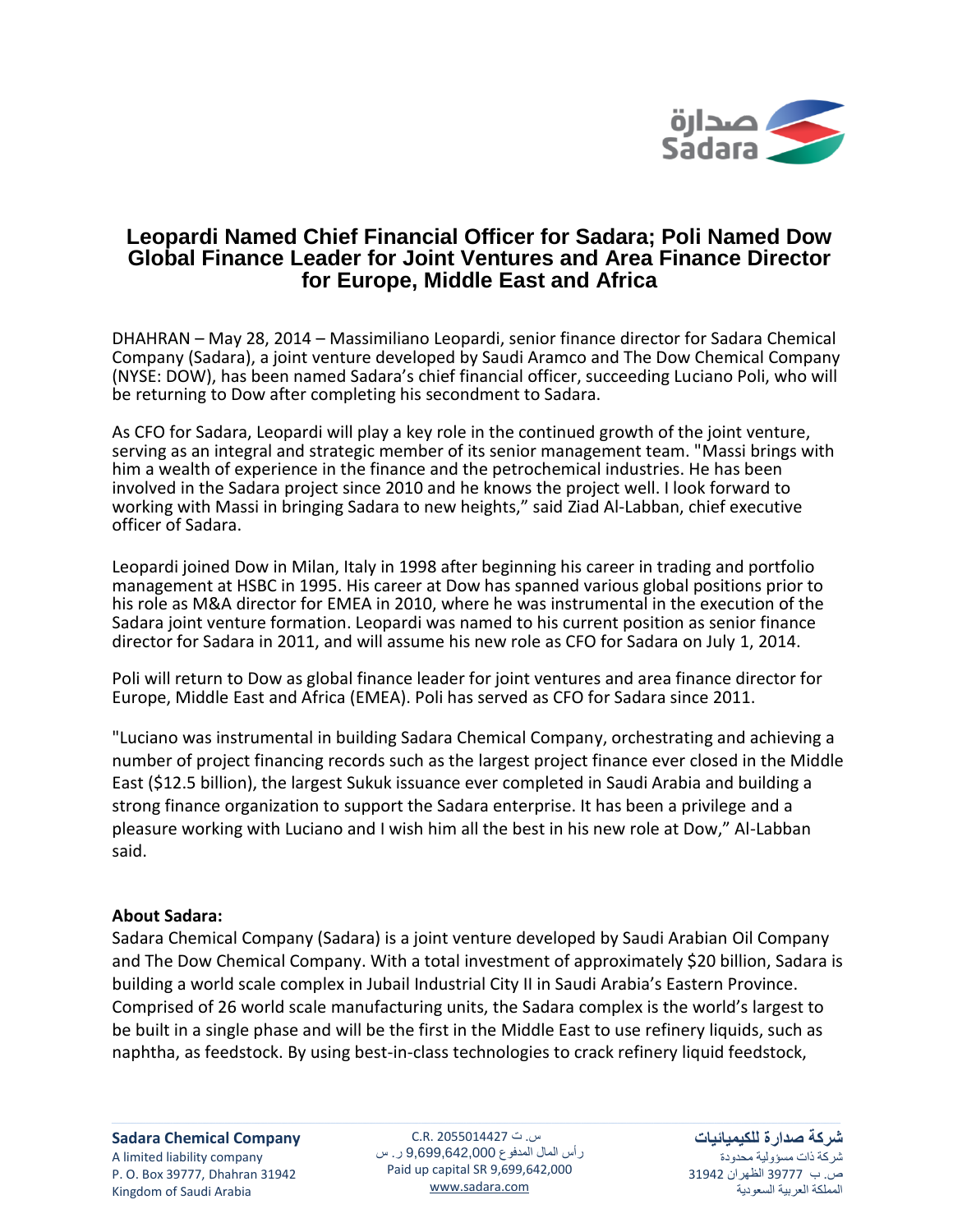

## **Leopardi Named Chief Financial Officer for Sadara; Poli Named Dow Global Finance Leader for Joint Ventures and Area Finance Director for Europe, Middle East and Africa**

DHAHRAN – May 28, 2014 – Massimiliano Leopardi, senior finance director for Sadara Chemical Company (Sadara), a joint venture developed by Saudi Aramco and The Dow Chemical Company (NYSE: DOW), has been named Sadara's chief financial officer, succeeding Luciano Poli, who will be returning to Dow after completing his secondment to Sadara.

As CFO for Sadara, Leopardi will play a key role in the continued growth of the joint venture, serving as an integral and strategic member of its senior management team. "Massi brings with him a wealth of experience in the finance and the petrochemical industries. He has been involved in the Sadara project since 2010 and he knows the project well. I look forward to working with Massi in bringing Sadara to new heights," said Ziad Al-Labban, chief executive officer of Sadara.

Leopardi joined Dow in Milan, Italy in 1998 after beginning his career in trading and portfolio management at HSBC in 1995. His career at Dow has spanned various global positions prior to his role as M&A director for EMEA in 2010, where he was instrumental in the execution of the Sadara joint venture formation. Leopardi was named to his current position as senior finance director for Sadara in 2011, and will assume his new role as CFO for Sadara on July 1, 2014.

Poli will return to Dow as global finance leader for joint ventures and area finance director for Europe, Middle East and Africa (EMEA). Poli has served as CFO for Sadara since 2011.

"Luciano was instrumental in building Sadara Chemical Company, orchestrating and achieving a number of project financing records such as the largest project finance ever closed in the Middle East (\$12.5 billion), the largest Sukuk issuance ever completed in Saudi Arabia and building a strong finance organization to support the Sadara enterprise. It has been a privilege and a pleasure working with Luciano and I wish him all the best in his new role at Dow," Al-Labban said.

## **About Sadara:**

Sadara Chemical Company (Sadara) is a joint venture developed by Saudi Arabian Oil Company and The Dow Chemical Company. With a total investment of approximately \$20 billion, Sadara is building a world scale complex in Jubail Industrial City II in Saudi Arabia's Eastern Province. Comprised of 26 world scale manufacturing units, the Sadara complex is the world's largest to be built in a single phase and will be the first in the Middle East to use refinery liquids, such as naphtha, as feedstock. By using best-in-class technologies to crack refinery liquid feedstock,

س. ت C.R. 2055014427 رأس المال المدفوع 9,699,642,000 ر. س Paid up capital SR 9,699,642,000 www.sadara.com

**شركة صدارة للكيميائيات** شركة ذات مسؤولية محدودة ص. ب 77333 الظهران 74713 المملكة العربية السعودية